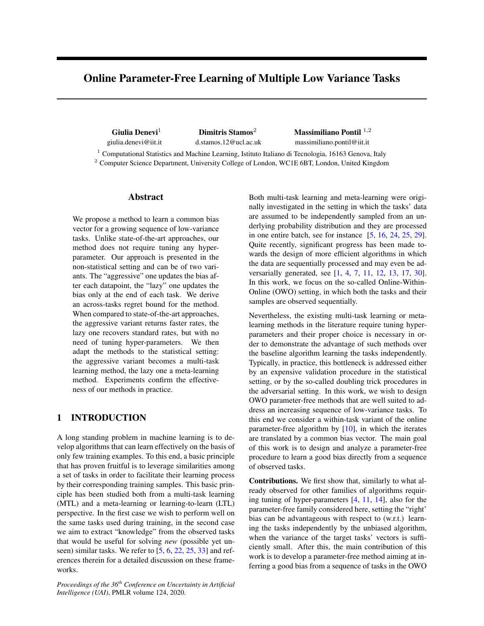# Online Parameter-Free Learning of Multiple Low Variance Tasks

Giulia Denevi<sup>1</sup> Dimitris Stamos<sup>2</sup> Massimiliano Pontil  $1,2$ giulia.denevi@iit.it d.stamos.12@ucl.ac.uk massimiliano.pontil@iit.it

<sup>1</sup> Computational Statistics and Machine Learning, Istituto Italiano di Tecnologia, 16163 Genova, Italy <sup>2</sup> Computer Science Department, University College of London, WC1E 6BT, London, United Kingdom

## Abstract

We propose a method to learn a common bias vector for a growing sequence of low-variance tasks. Unlike state-of-the-art approaches, our method does not require tuning any hyperparameter. Our approach is presented in the non-statistical setting and can be of two variants. The "aggressive" one updates the bias after each datapoint, the "lazy" one updates the bias only at the end of each task. We derive an across-tasks regret bound for the method. When compared to state-of-the-art approaches, the aggressive variant returns faster rates, the lazy one recovers standard rates, but with no need of tuning hyper-parameters. We then adapt the methods to the statistical setting: the aggressive variant becomes a multi-task learning method, the lazy one a meta-learning method. Experiments confirm the effectiveness of our methods in practice.

## 1 INTRODUCTION

A long standing problem in machine learning is to develop algorithms that can learn effectively on the basis of only few training examples. To this end, a basic principle that has proven fruitful is to leverage similarities among a set of tasks in order to facilitate their learning process by their corresponding training samples. This basic principle has been studied both from a multi-task learning (MTL) and a meta-learning or learning-to-learn (LTL) perspective. In the first case we wish to perform well on the same tasks used during training, in the second case we aim to extract "knowledge" from the observed tasks that would be useful for solving *new* (possible yet unseen) similar tasks. We refer to [5, 6, 22, 25, 33] and references therein for a detailed discussion on these frameworks.

*Proceedings of the 36th Conference on Uncertainty in Artificial Intelligence (UAI)*, PMLR volume 124, 2020.

Both multi-task learning and meta-learning were originally investigated in the setting in which the tasks' data are assumed to be independently sampled from an underlying probability distribution and they are processed in one entire batch, see for instance  $[5, 16, 24, 25, 29]$ . Quite recently, significant progress has been made towards the design of more efficient algorithms in which the data are sequentially processed and may even be adversarially generated, see [1, 4, 7, 11, 12, 13, 17, 30]. In this work, we focus on the so-called Online-Within-Online (OWO) setting, in which both the tasks and their samples are observed sequentially.

Nevertheless, the existing multi-task learning or metalearning methods in the literature require tuning hyperparameters and their proper choice is necessary in order to demonstrate the advantage of such methods over the baseline algorithm learning the tasks independently. Typically, in practice, this bottleneck is addressed either by an expensive validation procedure in the statistical setting, or by the so-called doubling trick procedures in the adversarial setting. In this work, we wish to design OWO parameter-free methods that are well suited to address an increasing sequence of low-variance tasks. To this end we consider a within-task variant of the online parameter-free algorithm by  $[10]$ , in which the iterates are translated by a common bias vector. The main goal of this work is to design and analyze a parameter-free procedure to learn a good bias directly from a sequence of observed tasks.

Contributions. We first show that, similarly to what already observed for other families of algorithms requiring tuning of hyper-parameters [4, 11, 14], also for the parameter-free family considered here, setting the "right' bias can be advantageous with respect to (w.r.t.) learning the tasks independently by the unbiased algorithm, when the variance of the target tasks' vectors is sufficiently small. After this, the main contribution of this work is to develop a parameter-free method aiming at inferring a good bias from a sequence of tasks in the OWO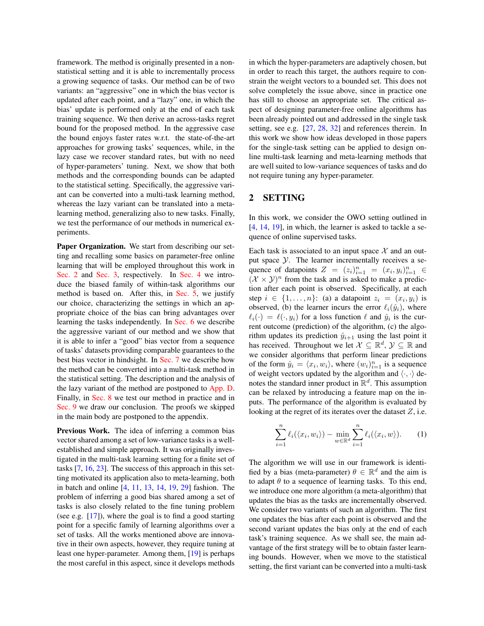framework. The method is originally presented in a nonstatistical setting and it is able to incrementally process a growing sequence of tasks. Our method can be of two variants: an "aggressive" one in which the bias vector is updated after each point, and a "lazy" one, in which the bias' update is performed only at the end of each task training sequence. We then derive an across-tasks regret bound for the proposed method. In the aggressive case the bound enjoys faster rates w.r.t. the state-of-the-art approaches for growing tasks' sequences, while, in the lazy case we recover standard rates, but with no need of hyper-parameters' tuning. Next, we show that both methods and the corresponding bounds can be adapted to the statistical setting. Specifically, the aggressive variant can be converted into a multi-task learning method, whereas the lazy variant can be translated into a metalearning method, generalizing also to new tasks. Finally, we test the performance of our methods in numerical experiments.

Paper Organization. We start from describing our setting and recalling some basics on parameter-free online learning that will be employed throughout this work in Sec. 2 and Sec. 3, respectively. In Sec. 4 we introduce the biased family of within-task algorithms our method is based on. After this, in Sec. 5, we justify our choice, characterizing the settings in which an appropriate choice of the bias can bring advantages over learning the tasks independently. In Sec. 6 we describe the aggressive variant of our method and we show that it is able to infer a "good" bias vector from a sequence of tasks' datasets providing comparable guarantees to the best bias vector in hindsight. In Sec. 7 we describe how the method can be converted into a multi-task method in the statistical setting. The description and the analysis of the lazy variant of the method are postponed to App. D. Finally, in Sec. 8 we test our method in practice and in Sec. 9 we draw our conclusion. The proofs we skipped in the main body are postponed to the appendix.

Previous Work. The idea of inferring a common bias vector shared among a set of low-variance tasks is a wellestablished and simple approach. It was originally investigated in the multi-task learning setting for a finite set of tasks [7, 16, 23]. The success of this approach in this setting motivated its application also to meta-learning, both in batch and online [4, 11, 13, 14, 19, 29] fashion. The problem of inferring a good bias shared among a set of tasks is also closely related to the fine tuning problem (see e.g. [17]), where the goal is to find a good starting point for a specific family of learning algorithms over a set of tasks. All the works mentioned above are innovative in their own aspects, however, they require tuning at least one hyper-parameter. Among them, [19] is perhaps the most careful in this aspect, since it develops methods in which the hyper-parameters are adaptively chosen, but in order to reach this target, the authors require to constrain the weight vectors to a bounded set. This does not solve completely the issue above, since in practice one has still to choose an appropriate set. The critical aspect of designing parameter-free online algorithms has been already pointed out and addressed in the single task setting, see e.g. [27, 28, 32] and references therein. In this work we show how ideas developed in those papers for the single-task setting can be applied to design online multi-task learning and meta-learning methods that are well suited to low-variance sequences of tasks and do not require tuning any hyper-parameter.

### 2 SETTING

In this work, we consider the OWO setting outlined in [4, 14, 19], in which, the learner is asked to tackle a sequence of online supervised tasks.

Each task is associated to an input space  $\mathcal X$  and an output space  $\mathcal Y$ . The learner incrementally receives a sequence of datapoints  $Z = (z_i)_{i=1}^n = (x_i, y_i)_{i=1}^n \in$  $(\mathcal{X} \times \mathcal{Y})^n$  from the task and is asked to make a prediction after each point is observed. Specifically, at each step  $i \in \{1, \ldots, n\}$ : (a) a datapoint  $z_i = (x_i, y_i)$  is observed, (b) the learner incurs the error  $\ell_i(\hat{y}_i)$ , where  $\ell_i(\cdot) = \ell(\cdot, y_i)$  for a loss function  $\ell$  and  $\hat{y}_i$  is the current outcome (prediction) of the algorithm, (c) the algorithm updates its prediction  $\hat{y}_{i+1}$  using the last point it has received. Throughout we let  $\mathcal{X} \subseteq \mathbb{R}^d$ ,  $\mathcal{Y} \subseteq \mathbb{R}$  and we consider algorithms that perform linear predictions of the form  $\hat{y}_i = \langle x_i, w_i \rangle$ , where  $(w_i)_{i=1}^n$  is a sequence of weight vectors updated by the algorithm and  $\langle \cdot, \cdot \rangle$  denotes the standard inner product in  $\mathbb{R}^d$ . This assumption can be relaxed by introducing a feature map on the inputs. The performance of the algorithm is evaluated by looking at the regret of its iterates over the dataset  $Z$ , i.e.

$$
\sum_{i=1}^{n} \ell_i(\langle x_i, w_i \rangle) - \min_{w \in \mathbb{R}^d} \sum_{i=1}^{n} \ell_i(\langle x_i, w \rangle). \tag{1}
$$

The algorithm we will use in our framework is identified by a bias (meta-parameter)  $\theta \in \mathbb{R}^d$  and the aim is to adapt  $\theta$  to a sequence of learning tasks. To this end, we introduce one more algorithm (a meta-algorithm) that updates the bias as the tasks are incrementally observed. We consider two variants of such an algorithm. The first one updates the bias after each point is observed and the second variant updates the bias only at the end of each task's training sequence. As we shall see, the main advantage of the first strategy will be to obtain faster learning bounds. However, when we move to the statistical setting, the first variant can be converted into a multi-task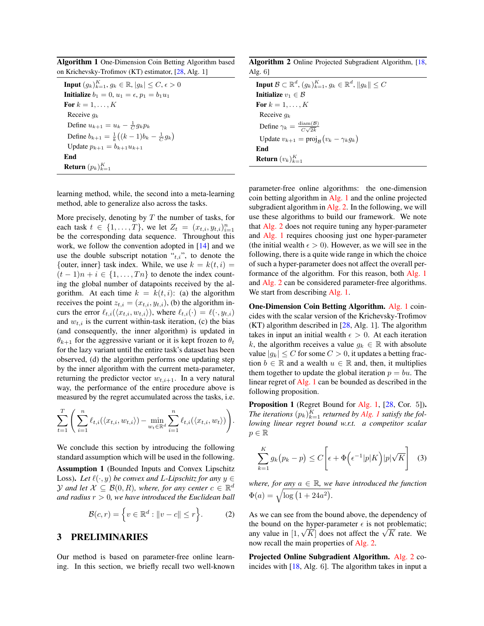Algorithm 1 One-Dimension Coin Betting Algorithm based on Krichevsky-Trofimov (KT) estimator, [28, Alg. 1]

**Input**  $(g_k)_{k=1}^K$ ,  $g_k \in \mathbb{R}$ ,  $|g_k| \leq C$ ,  $\epsilon > 0$ **Initialize**  $b_1 = 0, u_1 = \epsilon, p_1 = b_1u_1$ For  $k = 1, \ldots, K$ Receive  $q_k$ Define  $u_{k+1} = u_k - \frac{1}{C} g_k p_k$ Define  $b_{k+1} = \frac{1}{k} \left( (k-1)b_k - \frac{1}{C} g_k \right)$ Update  $p_{k+1} = b_{k+1}u_{k+1}$ End **Return**  $(p_k)_{k=1}^K$ 

learning method, while, the second into a meta-learning method, able to generalize also across the tasks.

More precisely, denoting by  $T$  the number of tasks, for each task  $t \in \{1, ..., T\}$ , we let  $Z_t = (x_{t,i}, y_{t,i})_{i=1}^n$ be the corresponding data sequence. Throughout this work, we follow the convention adopted in [14] and we use the double subscript notation  $\cdot t_{t,i}$ ", to denote the {outer, inner} task index. While, we use  $k = k(t, i)$  =  $(t-1)n + i \in \{1, \ldots, T_n\}$  to denote the index counting the global number of datapoints received by the algorithm. At each time  $k = k(t, i)$ : (a) the algorithm receives the point  $z_{t,i} = (x_{t,i}, y_{t,i})$ , (b) the algorithm incurs the error  $\ell_{t,i}(\langle x_{t,i}, w_{t,i} \rangle)$ , where  $\ell_{t,i}(\cdot) = \ell(\cdot, y_{t,i})$ and  $w_{t,i}$  is the current within-task iteration, (c) the bias (and consequently, the inner algorithm) is updated in  $\theta_{k+1}$  for the aggressive variant or it is kept frozen to  $\theta_t$ for the lazy variant until the entire task's dataset has been observed, (d) the algorithm performs one updating step by the inner algorithm with the current meta-parameter, returning the predictor vector  $w_{t,i+1}$ . In a very natural way, the performance of the entire procedure above is measured by the regret accumulated across the tasks, i.e.

$$
\sum_{t=1}^T \left( \sum_{i=1}^n \ell_{t,i}(\langle x_{t,i}, w_{t,i} \rangle) - \min_{w_t \in \mathbb{R}^d} \sum_{i=1}^n \ell_{t,i}(\langle x_{t,i}, w_t \rangle) \right).
$$

We conclude this section by introducing the following standard assumption which will be used in the following.

Assumption 1 (Bounded Inputs and Convex Lipschitz Loss). Let  $\ell(\cdot, y)$  *be convex and L-Lipschitz for any*  $y \in \mathbb{R}$ *Y* and let  $\mathcal{X} \subseteq \mathcal{B}(0,R)$ , where, for any center  $c \in \mathbb{R}^d$ *and radius* r > 0*, we have introduced the Euclidean ball*

$$
\mathcal{B}(c,r) = \left\{ v \in \mathbb{R}^d : ||v - c|| \le r \right\}.
$$
 (2)

### 3 PRELIMINARIES

Our method is based on parameter-free online learning. In this section, we briefly recall two well-known

Algorithm 2 Online Projected Subgradient Algorithm, [18, Alg. 6]

| <b>Input</b> $\mathcal{B} \subset \mathbb{R}^d$ , $(g_k)_{k=1}^K$ , $g_k \in \mathbb{R}^d$ , $  g_k   \leq C$ |
|---------------------------------------------------------------------------------------------------------------|
| <b>Initialize</b> $v_1 \in \mathcal{B}$                                                                       |
| For $k = 1, \ldots, K$                                                                                        |
| Receive $q_k$                                                                                                 |
| Define $\gamma_k = \frac{\text{diam}(\mathcal{B})}{C\sqrt{2k}}$                                               |
| Update $v_{k+1} = \text{proj}_{\mathcal{B}}(v_k - \gamma_k g_k)$                                              |
| End                                                                                                           |
| <b>Return</b> $(v_k)_{k=1}^K$                                                                                 |

parameter-free online algorithms: the one-dimension coin betting algorithm in Alg. 1 and the online projected subgradient algorithm in Alg. 2. In the following, we will use these algorithms to build our framework. We note that Alg. 2 does not require tuning any hyper-parameter and Alg. 1 requires choosing just one hyper-parameter (the initial wealth  $\epsilon > 0$ ). However, as we will see in the following, there is a quite wide range in which the choice of such a hyper-parameter does not affect the overall performance of the algorithm. For this reason, both Alg. 1 and Alg. 2 can be considered parameter-free algorithms. We start from describing Alg. 1.

One-Dimension Coin Betting Algorithm. Alg. 1 coincides with the scalar version of the Krichevsky-Trofimov (KT) algorithm described in [28, Alg. 1]. The algorithm takes in input an initial wealth  $\epsilon > 0$ . At each iteration k, the algorithm receives a value  $q_k \in \mathbb{R}$  with absolute value  $|g_k| \leq C$  for some  $C > 0$ , it updates a betting fraction  $b \in \mathbb{R}$  and a wealth  $u \in \mathbb{R}$  and, then, it multiplies them together to update the global iteration  $p = bu$ . The linear regret of Alg. 1 can be bounded as described in the following proposition.

Proposition 1 (Regret Bound for Alg. 1, [28, Cor. 5]). The iterations  $(p_k)_{k=1}^K$  returned by Alg. 1 satisfy the fol*lowing linear regret bound w.r.t. a competitor scalar*  $p \in \mathbb{R}$ 

$$
\sum_{k=1}^{K} g_k (p_k - p) \le C \left[ \epsilon + \Phi \left( \epsilon^{-1} |p| K \right) |p| \sqrt{K} \right] \tag{3}
$$

*where, for any*  $a \in \mathbb{R}$ *, we have introduced the function*  $\Phi(a) = \sqrt{\log(1 + 24a^2)}.$ 

As we can see from the bound above, the dependency of the bound on the hyper-parameter  $\epsilon$  is not problematic; the bound on the hyper-parameter  $\epsilon$  is not problematic;<br>any value in [1,  $\sqrt{K}$ ] does not affect the  $\sqrt{K}$  rate. We now recall the main properties of Alg. 2.

Projected Online Subgradient Algorithm. Alg. 2 coincides with [18, Alg. 6]. The algorithm takes in input a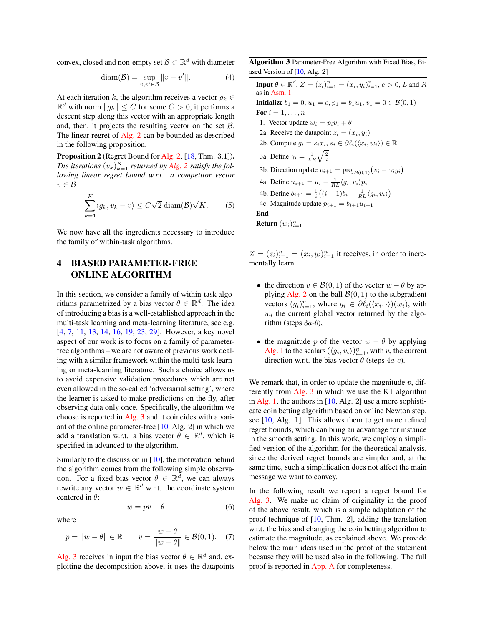convex, closed and non-empty set  $\mathcal{B} \subset \mathbb{R}^d$  with diameter

$$
diam(\mathcal{B}) = \sup_{v,v' \in \mathcal{B}} ||v - v'||. \tag{4}
$$

At each iteration k, the algorithm receives a vector  $q_k \in$  $\mathbb{R}^d$  with norm  $||g_k|| \leq C$  for some  $C > 0$ , it performs a descent step along this vector with an appropriate length and, then, it projects the resulting vector on the set  $B$ . The linear regret of Alg. 2 can be bounded as described in the following proposition.

Proposition 2 (Regret Bound for Alg. 2, [18, Thm. 3.1]). The iterations  $(v_k)_{k=1}^K$  returned by Alg. 2 satisfy the fol*lowing linear regret bound w.r.t. a competitor vector*  $v \in \mathcal{B}$ 

$$
\sum_{k=1}^{K} \langle g_k, v_k - v \rangle \le C\sqrt{2} \operatorname{diam}(\mathcal{B}) \sqrt{K}.
$$
 (5)

We now have all the ingredients necessary to introduce the family of within-task algorithms.

# 4 BIASED PARAMETER-FREE ONLINE ALGORITHM

In this section, we consider a family of within-task algorithms parametrized by a bias vector  $\theta \in \mathbb{R}^d$ . The idea of introducing a bias is a well-established approach in the multi-task learning and meta-learning literature, see e.g. [4, 7, 11, 13, 14, 16, 19, 23, 29]. However, a key novel aspect of our work is to focus on a family of parameterfree algorithms – we are not aware of previous work dealing with a similar framework within the multi-task learning or meta-learning literature. Such a choice allows us to avoid expensive validation procedures which are not even allowed in the so-called 'adversarial setting', where the learner is asked to make predictions on the fly, after observing data only once. Specifically, the algorithm we choose is reported in Alg. 3 and it coincides with a variant of the online parameter-free [10, Alg. 2] in which we add a translation w.r.t. a bias vector  $\theta \in \mathbb{R}^d$ , which is specified in advanced to the algorithm.

Similarly to the discussion in [10], the motivation behind the algorithm comes from the following simple observation. For a fixed bias vector  $\theta \in \mathbb{R}^d$ , we can always rewrite any vector  $w \in \mathbb{R}^d$  w.r.t. the coordinate system centered in  $\theta$ :

$$
w = pv + \theta \tag{6}
$$

where

$$
p = \|w - \theta\| \in \mathbb{R} \qquad v = \frac{w - \theta}{\|w - \theta\|} \in \mathcal{B}(0, 1). \tag{7}
$$

Alg. 3 receives in input the bias vector  $\theta \in \mathbb{R}^d$  and, exploiting the decomposition above, it uses the datapoints Algorithm 3 Parameter-Free Algorithm with Fixed Bias, Biased Version of [10, Alg. 2]

**Input**  $\theta \in \mathbb{R}^d$ ,  $Z = (z_i)_{i=1}^n = (x_i, y_i)_{i=1}^n$ ,  $e > 0$ , L and R as in Asm. 1 **Initialize**  $b_1 = 0, u_1 = e, p_1 = b_1u_1, v_1 = 0 \in \mathcal{B}(0, 1)$ For  $i=1,\ldots,n$ 1. Vector update  $w_i = p_i v_i + \theta$ 2a. Receive the datapoint  $z_i = (x_i, y_i)$ 2b. Compute  $g_i = s_i x_i, s_i \in \partial \ell_i(\langle x_i, w_i \rangle) \in \mathbb{R}$ 3a. Define  $\gamma_i = \frac{1}{LR}\sqrt{\frac{2}{i}}$ 3b. Direction update  $v_{i+1} = \text{proj}_{\mathcal{B}(0,1)}(v_i - \gamma_i g_i)$ 4a. Define  $u_{i+1} = u_i - \frac{1}{RL} \langle g_i, v_i \rangle p_i$ 4b. Define  $b_{i+1} = \frac{1}{i} \left( (i-1)b_i - \frac{1}{RL} \langle g_i, v_i \rangle \right)$ 4c. Magnitude update  $p_{i+1} = b_{i+1}u_{i+1}$ End Return  $(w_i)_{i=1}^n$ 

 $Z = (z_i)_{i=1}^n = (x_i, y_i)_{i=1}^n$  it receives, in order to incrementally learn

- the direction  $v \in \mathcal{B}(0, 1)$  of the vector  $w \theta$  by applying Alg. 2 on the ball  $\mathcal{B}(0, 1)$  to the subgradient vectors  $(g_i)_{i=1}^n$ , where  $g_i \in \partial \ell_i(\langle x_i, \cdot \rangle)(w_i)$ , with  $w_i$  the current global vector returned by the algorithm (steps  $3a-b$ ),
- the magnitude p of the vector  $w \theta$  by applying Alg. 1 to the scalars  $(\langle g_i, v_i \rangle)_{i=1}^n$ , with  $v_i$  the current direction w.r.t. the bias vector  $\theta$  (steps 4*a-c*).

We remark that, in order to update the magnitude  $p$ , differently from Alg. 3 in which we use the KT algorithm in Alg. 1, the authors in  $[10, Alg. 2]$  use a more sophisticate coin betting algorithm based on online Newton step, see [10, Alg. 1]. This allows them to get more refined regret bounds, which can bring an advantage for instance in the smooth setting. In this work, we employ a simplified version of the algorithm for the theoretical analysis, since the derived regret bounds are simpler and, at the same time, such a simplification does not affect the main message we want to convey.

In the following result we report a regret bound for Alg. 3. We make no claim of originality in the proof of the above result, which is a simple adaptation of the proof technique of [10, Thm. 2], adding the translation w.r.t. the bias and changing the coin betting algorithm to estimate the magnitude, as explained above. We provide below the main ideas used in the proof of the statement because they will be used also in the following. The full proof is reported in App. A for completeness.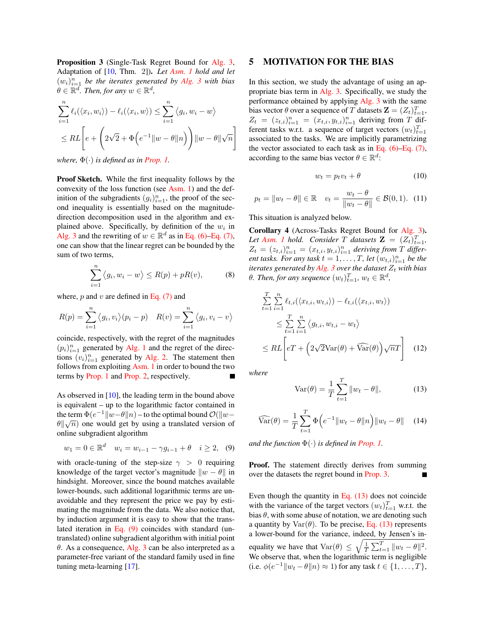Proposition 3 (Single-Task Regret Bound for Alg. 3, Adaptation of [10, Thm. 2]). *Let Asm. 1 hold and let*  $(w_i)_{i=1}^n$  be the iterates generated by Alg. 3 with bias  $\theta \in \mathbb{R}^d$ . Then, for any  $w \in \mathbb{R}^d$ ,

$$
\sum_{i=1}^{n} \ell_i(\langle x_i, w_i \rangle) - \ell_i(\langle x_i, w \rangle) \le \sum_{i=1}^{n} \langle g_i, w_i - w \rangle
$$
  

$$
\le RL \left[ e + \left( 2\sqrt{2} + \Phi \left( e^{-1} ||w - \theta||n \right) \right) ||w - \theta||\sqrt{n} \right]
$$

*where,*  $\Phi(\cdot)$  *is defined as in Prop. 1.* 

Proof Sketch. While the first inequality follows by the convexity of the loss function (see Asm. 1) and the definition of the subgradients  $(g_i)_{i=1}^n$ , the proof of the second inequality is essentially based on the magnitudedirection decomposition used in the algorithm and explained above. Specifically, by definition of the  $w_i$  in Alg. 3 and the rewriting of  $w \in \mathbb{R}^d$  as in Eq. (6)–Eq. (7), one can show that the linear regret can be bounded by the sum of two terms,

$$
\sum_{i=1}^{n} \langle g_i, w_i - w \rangle \le R(p) + pR(v), \tag{8}
$$

where,  $p$  and  $v$  are defined in Eq. (7) and

$$
R(p) = \sum_{i=1}^{n} \langle g_i, v_i \rangle (p_i - p) \quad R(v) = \sum_{i=1}^{n} \langle g_i, v_i - v \rangle
$$

coincide, respectively, with the regret of the magnitudes  $(p_i)_{i=1}^n$  generated by Alg. 1 and the regret of the directions  $(v_i)_{i=1}^n$  generated by Alg. 2. The statement then follows from exploiting Asm. 1 in order to bound the two terms by Prop. 1 and Prop. 2, respectively.

As observed in [10], the leading term in the bound above is equivalent – up to the logarithmic factor contained in the term  $\Phi(e^{-1}||w-\theta||n)$  – to the optimal bound  $\mathcal{O}(\Vert w-\theta\Vert n)$  $\theta \Vert \sqrt{n}$  one would get by using a translated version of online subgradient algorithm

$$
w_1 = 0 \in \mathbb{R}^d \quad w_i = w_{i-1} - \gamma g_{i-1} + \theta \quad i \ge 2, \tag{9}
$$

with oracle-tuning of the step-size  $\gamma > 0$  requiring knowledge of the target vector's magnitude  $\|w - \theta\|$  in hindsight. Moreover, since the bound matches available lower-bounds, such additional logarithmic terms are unavoidable and they represent the price we pay by estimating the magnitude from the data. We also notice that, by induction argument it is easy to show that the translated iteration in Eq. (9) coincides with standard (untranslated) online subgradient algorithm with initial point  $\theta$ . As a consequence, Alg. 3 can be also interpreted as a parameter-free variant of the standard family used in fine tuning meta-learning [17].

#### 5 MOTIVATION FOR THE BIAS

In this section, we study the advantage of using an appropriate bias term in Alg. 3. Specifically, we study the performance obtained by applying Alg. 3 with the same bias vector  $\theta$  over a sequence of T datasets  $\mathbf{Z} = (Z_t)_{t=1}^T$ ,  $Z_t = (z_{t,i})_{i=1}^n = (x_{t,i}, y_{t,i})_{i=1}^n$  deriving from T different tasks w.r.t. a sequence of target vectors  $(w_t)_{t=1}^T$ associated to the tasks. We are implicitly parametrizing the vector associated to each task as in Eq.  $(6)$ –Eq.  $(7)$ , according to the same bias vector  $\theta \in \mathbb{R}^d$ :

$$
w_t = p_t v_t + \theta \tag{10}
$$

$$
p_t = ||w_t - \theta|| \in \mathbb{R}
$$
  $v_t = \frac{w_t - \theta}{||w_t - \theta||} \in \mathcal{B}(0, 1).$  (11)

This situation is analyzed below.

Corollary 4 (Across-Tasks Regret Bound for Alg. 3). Let Asm. 1 hold. Consider T datasets  $\mathbf{Z} = (Z_t)_{t=1}^T$ ,  $Z_t = (z_{t,i})_{i=1}^n = (x_{t,i}, y_{t,i})_{i=1}^n$  deriving from T differ*ent tasks. For any task*  $t = 1, \ldots, T$ , *let*  $(w_{t,i})_{i=1}^n$  *be the iterates generated by Alg. 3 over the dataset*  $Z_t$  *with bias*  $\theta$ *. Then, for any sequence*  $(w_t)_{t=1}^T$ *,*  $w_t \in \mathbb{R}^d$ *,* 

$$
\sum_{t=1}^{T} \sum_{i=1}^{n} \ell_{t,i}(\langle x_{t,i}, w_{t,i} \rangle) - \ell_{t,i}(\langle x_{t,i}, w_t \rangle)
$$
\n
$$
\leq \sum_{t=1}^{T} \sum_{i=1}^{n} \langle g_{t,i}, w_{t,i} - w_t \rangle
$$
\n
$$
\leq R L \left[ eT + \left( 2\sqrt{2} \text{Var}(\theta) + \widehat{\text{Var}}(\theta) \right) \sqrt{n} T \right] \tag{12}
$$

*where*

$$
Var(\theta) = \frac{1}{T} \sum_{t=1}^{T} ||w_t - \theta||,
$$
 (13)

$$
\widehat{\text{Var}}(\theta) = \frac{1}{T} \sum_{t=1}^{T} \Phi\left(e^{-1} \|w_t - \theta\| \right) \|w_t - \theta\| \quad (14)
$$

*and the function*  $\Phi(\cdot)$  *is defined in Prop. 1.* 

Proof. The statement directly derives from summing over the datasets the regret bound in Prop. 3.

Even though the quantity in Eq.  $(13)$  does not coincide with the variance of the target vectors  $(w_t)_{t=1}^T$  w.r.t. the bias  $\theta$ , with some abuse of notation, we are denoting such a quantity by  $\text{Var}(\theta)$ . To be precise, Eq. (13) represents a lower-bound for the variance, indeed, by Jensen's inequality we have that  $\text{Var}(\theta) \leq \sqrt{\frac{1}{T} \sum_{t=1}^{T} ||w_t - \theta||^2}$ . We observe that, when the logarithmic term is negligible (i.e.  $\phi(e^{-1}||w_t - \theta||n) \approx 1$ ) for any task  $t \in \{1, ..., T\}$ ,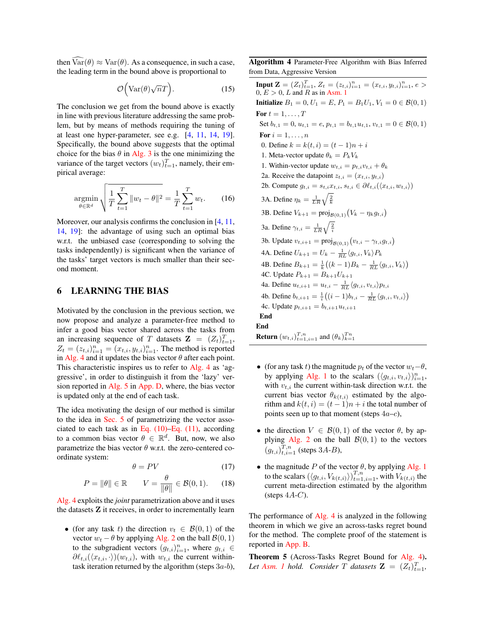then  $\widehat{\text{Var}}(\theta) \approx \text{Var}(\theta)$ . As a consequence, in such a case, the leading term in the bound above is proportional to

$$
\mathcal{O}\Big(\text{Var}(\theta)\sqrt{n}T\Big). \tag{15}
$$

The conclusion we get from the bound above is exactly in line with previous literature addressing the same problem, but by means of methods requiring the tuning of at least one hyper-parameter, see e.g. [4, 11, 14, 19]. Specifically, the bound above suggests that the optimal choice for the bias  $\theta$  in Alg. 3 is the one minimizing the variance of the target vectors  $(w_t)_{t=1}^T$ , namely, their empirical average:

$$
\underset{\theta \in \mathbb{R}^d}{\text{argmin}} \sqrt{\frac{1}{T} \sum_{t=1}^T \|w_t - \theta\|^2} = \frac{1}{T} \sum_{t=1}^T w_t. \tag{16}
$$

Moreover, our analysis confirms the conclusion in [4, 11, 14, 19]: the advantage of using such an optimal bias w.r.t. the unbiased case (corresponding to solving the tasks independently) is significant when the variance of the tasks' target vectors is much smaller than their second moment.

# 6 LEARNING THE BIAS

Motivated by the conclusion in the previous section, we now propose and analyze a parameter-free method to infer a good bias vector shared across the tasks from an increasing sequence of T datasets  $\mathbf{Z} = (Z_t)_{t=1}^T$ ,  $Z_t = (z_{t,i})_{i=1}^n = (x_{t,i}, y_{t,i})_{i=1}^n$ . The method is reported in Alg. 4 and it updates the bias vector  $\theta$  after each point. This characteristic inspires us to refer to Alg. 4 as 'aggressive', in order to distinguish it from the 'lazy' version reported in Alg. 5 in App. D, where, the bias vector is updated only at the end of each task.

The idea motivating the design of our method is similar to the idea in Sec. 5 of parametrizing the vector associated to each task as in Eq.  $(10)$ –Eq.  $(11)$ , according to a common bias vector  $\theta \in \mathbb{R}^d$ . But, now, we also parametrize the bias vector  $\theta$  w.r.t. the zero-centered coordinate system:

$$
\theta = PV \tag{17}
$$

$$
P = \|\theta\| \in \mathbb{R} \qquad V = \frac{\theta}{\|\theta\|} \in \mathcal{B}(0, 1). \tag{18}
$$

Alg. 4 exploits the *joint* parametrization above and it uses the datasets Z it receives, in order to incrementally learn

• (for any task t) the direction  $v_t \in \mathcal{B}(0,1)$  of the vector  $w_t - \theta$  by applying Alg. 2 on the ball  $\mathcal{B}(0, 1)$ to the subgradient vectors  $(g_{t,i})_{i=1}^n$ , where  $g_{t,i} \in$  $\partial \ell_{t,i}(\langle x_{t,i}, \cdot \rangle)(w_{t,i})$ , with  $w_{t,i}$  the current withintask iteration returned by the algorithm (steps  $3a-b$ ), Algorithm 4 Parameter-Free Algorithm with Bias Inferred from Data, Aggressive Version

**Input Z** =  $(Z_t)_{t=1}^T$ ,  $Z_t = (z_{t,i})_{i=1}^n = (x_{t,i}, y_{t,i})_{i=1}^n$ ,  $e >$  $0, E > 0, L$  and R as in Asm. 1 **Initialize**  $B_1 = 0, U_1 = E, P_1 = B_1U_1, V_1 = 0 \in \mathcal{B}(0, 1)$ For  $t = 1, \ldots, T$ Set  $b_{t,1} = 0$ ,  $u_{t,1} = e$ ,  $p_{t,1} = b_{t,1}u_{t,1}$ ,  $v_{t,1} = 0 \in \mathcal{B}(0,1)$ For  $i = 1, \ldots, n$ 0. Define  $k = k(t, i) = (t - 1)n + i$ 1. Meta-vector update  $\theta_k = P_k V_k$ 1. Within-vector update  $w_{t,i} = p_{t,i}v_{t,i} + \theta_k$ 2a. Receive the datapoint  $z_{t,i} = (x_{t,i}, y_{t,i})$ 2b. Compute  $g_{t,i} = s_{t,i} x_{t,i}, s_{t,i} \in \partial \ell_{t,i}(\langle x_{t,i}, w_{t,i} \rangle)$ 3A. Define  $\eta_k = \frac{1}{LR}\sqrt{\frac{2}{k}}$ 3B. Define  $V_{k+1} = \text{proj}_{\mathcal{B}(0,1)} (V_k - \eta_k g_{t,i})$ 3a. Define  $\gamma_{t,i} = \frac{1}{LR}\sqrt{\frac{2}{i}}$ 3b. Update  $v_{t,i+1} = \text{proj}_{\mathcal{B}(0,1)}(v_{t,i} - \gamma_{t,i}g_{t,i})$ 4A. Define  $U_{k+1} = U_k - \frac{1}{RL} \langle g_{t,i}, V_k \rangle P_k$ 4B. Define  $B_{k+1} = \frac{1}{k} ((k-1)B_k - \frac{1}{RL} \langle g_{t,i}, V_k \rangle)$ 4C. Update  $P_{k+1} = B_{k+1}U_{k+1}$ 4a. Define  $u_{t,i+1} = u_{t,i} - \frac{1}{RL} \langle g_{t,i}, v_{t,i} \rangle p_{t,i}$ 4b. Define  $b_{t,i+1} = \frac{1}{i} ((i-1)b_{t,i} - \frac{1}{RL} \langle g_{t,i}, v_{t,i} \rangle)$ 4c. Update  $p_{t,i+1} = b_{t,i+1}u_{t,i+1}$ End End **Return**  $(w_{t,i})_{t=1,i=1}^{T,n}$  and  $(\theta_k)_{k=1}^{Tn}$ 

- (for any task t) the magnitude  $p_t$  of the vector  $w_t-\theta$ , by applying Alg. 1 to the scalars  $(\langle g_{t,i}, v_{t,i} \rangle)_{i=1}^n$ , with  $v_{t,i}$  the current within-task direction w.r.t. the current bias vector  $\theta_{k(t,i)}$  estimated by the algorithm and  $k(t, i) = (t - 1)n + i$  the total number of points seen up to that moment (steps  $4a-c$ ),
- the direction  $V \in \mathcal{B}(0, 1)$  of the vector  $\theta$ , by applying Alg. 2 on the ball  $\mathcal{B}(0, 1)$  to the vectors  $(g_{t,i})_{t,i=1}^{T,n}$  (steps 3A-B),
- the magnitude P of the vector  $\theta$ , by applying Alg. 1 to the scalars  $(\langle g_{t,i}, V_{k(t,i)} \rangle)_{t=1,i=1}^{T,n}$ , with  $V_{k(t,i)}$  the current meta-direction estimated by the algorithm (steps  $4A-C$ ).

The performance of Alg. 4 is analyzed in the following theorem in which we give an across-tasks regret bound for the method. The complete proof of the statement is reported in App. B.

Theorem 5 (Across-Tasks Regret Bound for Alg. 4). Let Asm. 1 hold. Consider T datasets  $\mathbf{Z} = (Z_t)_{t=1}^T$ ,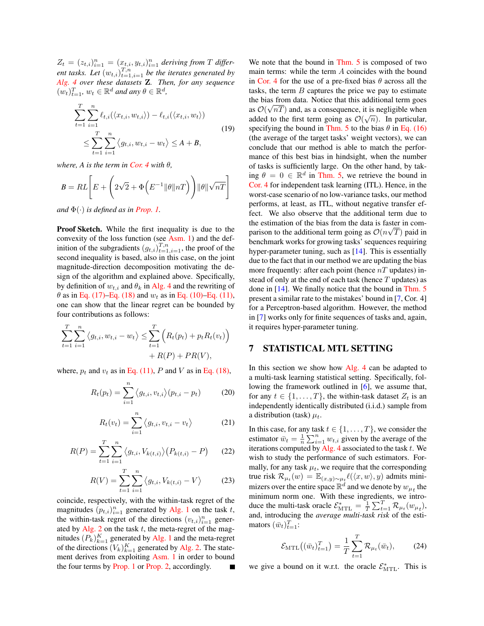$Z_t = (z_{t,i})_{i=1}^n = (x_{t,i}, y_{t,i})_{i=1}^n$  deriving from T different tasks. Let  $(w_{t,i})_{t=1,i=1}^{T,n}$  be the iterates generated by *Alg. 4 over these datasets* Z*. Then, for any sequence*  $(w_t)_{t=1}^T$ ,  $w_t \in \mathbb{R}^d$  and any  $\theta \in \mathbb{R}^d$ ,

$$
\sum_{t=1}^{T} \sum_{i=1}^{n} \ell_{t,i}(\langle x_{t,i}, w_{t,i} \rangle) - \ell_{t,i}(\langle x_{t,i}, w_t \rangle)
$$
  

$$
\leq \sum_{t=1}^{T} \sum_{i=1}^{n} \langle g_{t,i}, w_{t,i} - w_t \rangle \leq A + B,
$$
 (19)

*where, A is the term in Cor. 4 with*  $\theta$ *,* 

$$
B = RL \left[ E + \left( 2\sqrt{2} + \Phi \left( E^{-1} \|\theta\| nT \right) \right) \|\theta\| \sqrt{nT} \right]
$$

*and*  $\Phi(\cdot)$  *is defined as in Prop. 1.* 

Proof Sketch. While the first inequality is due to the convexity of the loss function (see Asm. 1) and the definition of the subgradients  $(g_{t,i})_{t=1,i=1}^{T,n}$ , the proof of the second inequality is based, also in this case, on the joint magnitude-direction decomposition motivating the design of the algorithm and explained above. Specifically, by definition of  $w_{t,i}$  and  $\theta_k$  in Alg. 4 and the rewriting of  $\theta$  as in Eq. (17)–Eq. (18) and  $w_t$  as in Eq. (10)–Eq. (11), one can show that the linear regret can be bounded by four contributions as follows:

$$
\sum_{t=1}^{T} \sum_{i=1}^{n} \langle g_{t,i}, w_{t,i} - w_t \rangle \leq \sum_{t=1}^{T} \left( R_t(p_t) + p_t R_t(v_t) \right) + R(P) + PR(V),
$$

where,  $p_t$  and  $v_t$  as in Eq. (11), P and V as in Eq. (18),

$$
R_t(p_t) = \sum_{i=1}^n \langle g_{t,i}, v_{t,i} \rangle (p_{t,i} - p_t) \tag{20}
$$

$$
R_t(v_t) = \sum_{i=1}^n \langle g_{t,i}, v_{t,i} - v_t \rangle \tag{21}
$$

$$
R(P) = \sum_{t=1}^{T} \sum_{i=1}^{n} \langle g_{t,i}, V_{k(t,i)} \rangle (P_{k(t,i)} - P)
$$
 (22)

$$
R(V) = \sum_{t=1}^{T} \sum_{i=1}^{n} \langle g_{t,i}, V_{k(t,i)} - V \rangle
$$
 (23)

coincide, respectively, with the within-task regret of the magnitudes  $(p_{t,i})_{i=1}^n$  generated by Alg. 1 on the task t, the within-task regret of the directions  $(v_{t,i})_{i=1}^n$  generated by Alg. 2 on the task  $t$ , the meta-regret of the magnitudes  $(P_k)_{k=1}^K$  generated by Alg. 1 and the meta-regret of the directions  $(V_k)_{k=1}^K$  generated by Alg. 2. The statement derives from exploiting Asm. 1 in order to bound the four terms by Prop. 1 or Prop. 2, accordingly.  $\blacksquare$  We note that the bound in Thm. 5 is composed of two main terms: while the term A coincides with the bound in Cor. 4 for the use of a pre-fixed bias  $\theta$  across all the tasks, the term  $B$  captures the price we pay to estimate the bias from data. Notice that this additional term goes as  $\mathcal{O}(\sqrt{nT})$  and, as a consequence, it is negligible when added to the first term going as  $\mathcal{O}(\sqrt{n})$ . In particular, specifying the bound in Thm. 5 to the bias  $\theta$  in Eq. (16) (the average of the target tasks' weight vectors), we can conclude that our method is able to match the performance of this best bias in hindsight, when the number of tasks is sufficiently large. On the other hand, by taking  $\theta = 0 \in \mathbb{R}^d$  in Thm. 5, we retrieve the bound in Cor. 4 for independent task learning (ITL). Hence, in the worst-case scenario of no low-variance tasks, our method performs, at least, as ITL, without negative transfer effect. We also observe that the additional term due to the estimation of the bias from the data is faster in comparison to the additional term going as  $\mathcal{O}(n\sqrt{T})$  paid in benchmark works for growing tasks' sequences requiring hyper-parameter tuning, such as [14]. This is essentially due to the fact that in our method we are updating the bias more frequently: after each point (hence  $nT$  updates) instead of only at the end of each task (hence  $T$  updates) as done in [14]. We finally notice that the bound in Thm. 5 present a similar rate to the mistakes' bound in [7, Cor. 4] for a Perceptron-based algorithm. However, the method in [7] works only for finite sequences of tasks and, again, it requires hyper-parameter tuning.

### 7 STATISTICAL MTL SETTING

In this section we show how Alg. 4 can be adapted to a multi-task learning statistical setting. Specifically, following the framework outlined in [6], we assume that, for any  $t \in \{1, \ldots, T\}$ , the within-task dataset  $Z_t$  is an independently identically distributed (i.i.d.) sample from a distribution (task)  $\mu_t$ .

In this case, for any task  $t \in \{1, \ldots, T\}$ , we consider the estimator  $\bar{w}_t = \frac{1}{n} \sum_{i=1}^n w_{t,i}$  given by the average of the iterations computed by Alg. 4 associated to the task  $t$ . We wish to study the performance of such estimators. Formally, for any task  $\mu_t$ , we require that the corresponding true risk  $\mathcal{R}_{\mu_t}(w) = \mathbb{E}_{(x,y)\sim\mu_t} \ell(\langle x, w \rangle, y)$  admits minimizers over the entire space  $\mathbb{R}^d$  and we denote by  $w_{\mu_t}$  the minimum norm one. With these ingredients, we introduce the multi-task oracle  $\mathcal{E}_{\text{MTL}}^* = \frac{1}{T} \sum_{t=1}^T \mathcal{R}_{\mu_t}(w_{\mu_t}),$ and, introducing the *average multi-task risk* of the estimators  $(\bar{w}_t)_{t=1}^T$ :

$$
\mathcal{E}_{\text{MTL}}\big((\bar{w}_t)_{t=1}^T\big) = \frac{1}{T} \sum_{t=1}^T \mathcal{R}_{\mu_t}(\bar{w}_t),\tag{24}
$$

we give a bound on it w.r.t. the oracle  $\mathcal{E}_{\text{MTL}}^*$ . This is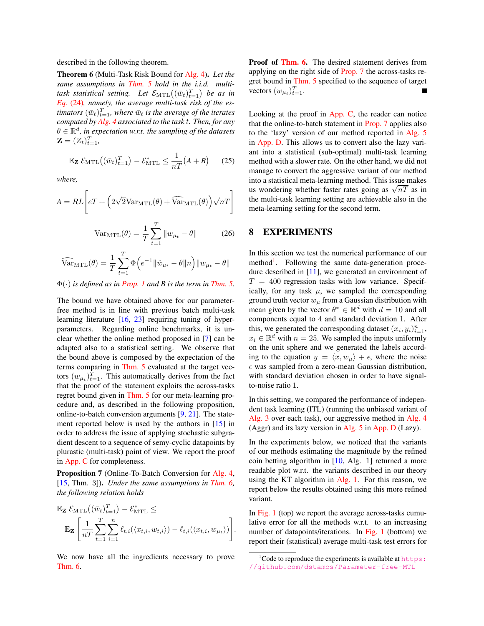described in the following theorem.

Theorem 6 (Multi-Task Risk Bound for Alg. 4). *Let the same assumptions in Thm. 5 hold in the i.i.d. multi*task statistical setting. Let  $\mathcal{E}_{\text{MTL}}\big((\bar{w}_t)_{t=1}^T\big)$  be as in *Eq.* (24)*, namely, the average multi-task risk of the es* $t$ imators  $(\bar{w}_t)_{t=1}^T$ , where  $\bar{w}_t$  is the average of the iterates *computed by Alg. 4 associated to the task* t*. Then, for any*  $\theta \in \mathbb{R}^d$ , in expectation w.r.t. the sampling of the datasets  $\mathbf{Z} = (Z_t)_{t=1}^T,$ 

$$
\mathbb{E}_{\mathbf{Z}} \mathcal{E}_{\mathrm{MTL}}\big((\bar{w}_t)_{t=1}^T\big) - \mathcal{E}_{\mathrm{MTL}}^* \le \frac{1}{nT} (A + B) \qquad (25)
$$

*where,*

$$
A = RL \left[ eT + \left( 2\sqrt{2} \text{Var}_{\text{MTL}}(\theta) + \widehat{\text{Var}}_{\text{MTL}}(\theta) \right) \sqrt{n}T \right]
$$

$$
Var_{\text{MTL}}(\theta) = \frac{1}{T} \sum_{t=1}^{T} ||w_{\mu_t} - \theta||
$$
 (26)

$$
\widehat{\text{Var}}_{\text{MTL}}(\theta) = \frac{1}{T} \sum_{t=1}^{T} \Phi\left(e^{-1} \|\hat{w}_{\mu_t} - \theta\| n\right) \|w_{\mu_t} - \theta\|
$$

Φ(·) *is defined as in Prop. 1 and B is the term in Thm. 5.*

The bound we have obtained above for our parameterfree method is in line with previous batch multi-task learning literature [16, 23] requiring tuning of hyperparameters. Regarding online benchmarks, it is unclear whether the online method proposed in [7] can be adapted also to a statistical setting. We observe that the bound above is composed by the expectation of the terms comparing in Thm. 5 evaluated at the target vectors  $(w_{\mu_t})_{t=1}^T$ . This automatically derives from the fact that the proof of the statement exploits the across-tasks regret bound given in Thm. 5 for our meta-learning procedure and, as described in the following proposition, online-to-batch conversion arguments [9, 21]. The statement reported below is used by the authors in [15] in order to address the issue of applying stochastic subgradient descent to a sequence of semy-cyclic datapoints by plurastic (multi-task) point of view. We report the proof in App. C for completeness.

Proposition 7 (Online-To-Batch Conversion for Alg. 4, [15, Thm. 3]). *Under the same assumptions in Thm. 6, the following relation holds*

$$
\mathbb{E}_{\mathbf{Z}} \mathcal{E}_{\mathrm{MTL}}((\bar{w}_t)_{t=1}^T) - \mathcal{E}_{\mathrm{MTL}}^* \leq
$$
  

$$
\mathbb{E}_{\mathbf{Z}} \left[ \frac{1}{nT} \sum_{t=1}^T \sum_{i=1}^n \ell_{t,i} (\langle x_{t,i}, w_{t,i} \rangle) - \ell_{t,i} (\langle x_{t,i}, w_{\mu_t} \rangle) \right].
$$

We now have all the ingredients necessary to prove Thm. 6.

Proof of Thm. 6. The desired statement derives from applying on the right side of Prop. 7 the across-tasks regret bound in Thm. 5 specified to the sequence of target vectors  $(w_{\mu_t})_{t=1}^T$ .

Looking at the proof in App. C, the reader can notice that the online-to-batch statement in Prop. 7 applies also to the 'lazy' version of our method reported in Alg. 5 in App. D. This allows us to convert also the lazy variant into a statistical (sub-optimal) multi-task learning method with a slower rate. On the other hand, we did not manage to convert the aggressive variant of our method into a statistical meta-learning method. This issue makes into a statistical meta-learning method. This issue makes<br>us wondering whether faster rates going as  $\sqrt{nT}$  as in the multi-task learning setting are achievable also in the meta-learning setting for the second term.

# 8 EXPERIMENTS

In this section we test the numerical performance of our method<sup>1</sup>. Following the same data-generation procedure described in [11], we generated an environment of  $T = 400$  regression tasks with low variance. Specifically, for any task  $\mu$ , we sampled the corresponding ground truth vector  $w_{\mu}$  from a Gaussian distribution with mean given by the vector  $\theta^* \in \mathbb{R}^d$  with  $d = 10$  and all components equal to 4 and standard deviation 1. After this, we generated the corresponding dataset  $(x_i, y_i)_{i=1}^n$ ,  $x_i \in \mathbb{R}^d$  with  $n = 25$ . We sampled the inputs uniformly on the unit sphere and we generated the labels according to the equation  $y = \langle x, w_\mu \rangle + \epsilon$ , where the noise  $\epsilon$  was sampled from a zero-mean Gaussian distribution, with standard deviation chosen in order to have signalto-noise ratio 1.

In this setting, we compared the performance of independent task learning (ITL) (running the unbiased variant of Alg. 3 over each task), our aggressive method in Alg. 4 (Aggr) and its lazy version in Alg. 5 in App. D (Lazy).

In the experiments below, we noticed that the variants of our methods estimating the magnitude by the refined coin betting algorithm in [10, Alg. 1] returned a more readable plot w.r.t. the variants described in our theory using the KT algorithm in Alg. 1. For this reason, we report below the results obtained using this more refined variant.

In Fig. 1 (top) we report the average across-tasks cumulative error for all the methods w.r.t. to an increasing number of datapoints/iterations. In Fig. 1 (bottom) we report their (statistical) average multi-task test errors for

 $1$ Code to reproduce the experiments is available at  $https:$ [//github.com/dstamos/Parameter-free-MTL](https://github.com/dstamos/Parameter-free-MTL)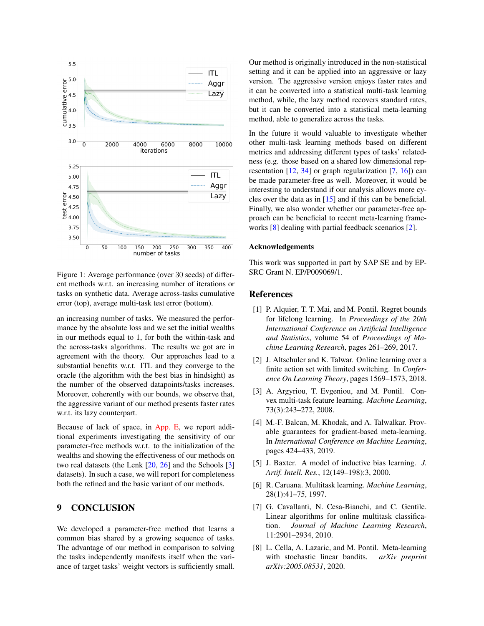

Figure 1: Average performance (over 30 seeds) of different methods w.r.t. an increasing number of iterations or tasks on synthetic data. Average across-tasks cumulative error (top), average multi-task test error (bottom).

an increasing number of tasks. We measured the performance by the absolute loss and we set the initial wealths in our methods equal to 1, for both the within-task and the across-tasks algorithms. The results we got are in agreement with the theory. Our approaches lead to a substantial benefits w.r.t. ITL and they converge to the oracle (the algorithm with the best bias in hindsight) as the number of the observed datapoints/tasks increases. Moreover, coherently with our bounds, we observe that, the aggressive variant of our method presents faster rates w.r.t. its lazy counterpart.

Because of lack of space, in App. E, we report additional experiments investigating the sensitivity of our parameter-free methods w.r.t. to the initialization of the wealths and showing the effectiveness of our methods on two real datasets (the Lenk [20, 26] and the Schools [3] datasets). In such a case, we will report for completeness both the refined and the basic variant of our methods.

# 9 CONCLUSION

We developed a parameter-free method that learns a common bias shared by a growing sequence of tasks. The advantage of our method in comparison to solving the tasks independently manifests itself when the variance of target tasks' weight vectors is sufficiently small. Our method is originally introduced in the non-statistical setting and it can be applied into an aggressive or lazy version. The aggressive version enjoys faster rates and it can be converted into a statistical multi-task learning method, while, the lazy method recovers standard rates, but it can be converted into a statistical meta-learning method, able to generalize across the tasks.

In the future it would valuable to investigate whether other multi-task learning methods based on different metrics and addressing different types of tasks' relatedness (e.g. those based on a shared low dimensional representation  $[12, 34]$  or graph regularization  $[7, 16]$  can be made parameter-free as well. Moreover, it would be interesting to understand if our analysis allows more cycles over the data as in [15] and if this can be beneficial. Finally, we also wonder whether our parameter-free approach can be beneficial to recent meta-learning frameworks [8] dealing with partial feedback scenarios [2].

#### Acknowledgements

This work was supported in part by SAP SE and by EP-SRC Grant N. EP/P009069/1.

#### References

- [1] P. Alquier, T. T. Mai, and M. Pontil. Regret bounds for lifelong learning. In *Proceedings of the 20th International Conference on Artificial Intelligence and Statistics*, volume 54 of *Proceedings of Machine Learning Research*, pages 261–269, 2017.
- [2] J. Altschuler and K. Talwar. Online learning over a finite action set with limited switching. In *Conference On Learning Theory*, pages 1569–1573, 2018.
- [3] A. Argyriou, T. Evgeniou, and M. Pontil. Convex multi-task feature learning. *Machine Learning*, 73(3):243–272, 2008.
- [4] M.-F. Balcan, M. Khodak, and A. Talwalkar. Provable guarantees for gradient-based meta-learning. In *International Conference on Machine Learning*, pages 424–433, 2019.
- [5] J. Baxter. A model of inductive bias learning. *J. Artif. Intell. Res.*, 12(149–198):3, 2000.
- [6] R. Caruana. Multitask learning. *Machine Learning*, 28(1):41–75, 1997.
- [7] G. Cavallanti, N. Cesa-Bianchi, and C. Gentile. Linear algorithms for online multitask classification. *Journal of Machine Learning Research*, 11:2901–2934, 2010.
- [8] L. Cella, A. Lazaric, and M. Pontil. Meta-learning with stochastic linear bandits. *arXiv preprint arXiv:2005.08531*, 2020.